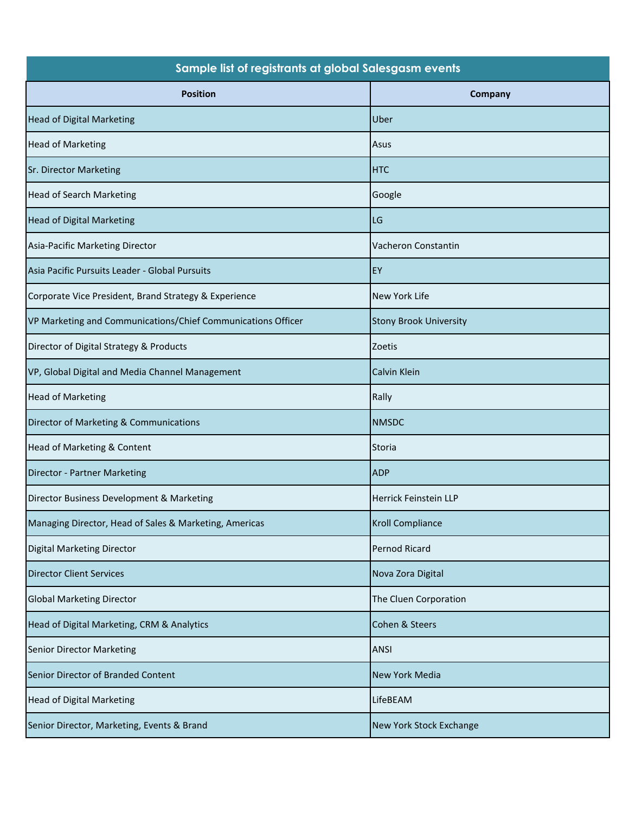| Sample list of registrants at global Salesgasm events        |                               |
|--------------------------------------------------------------|-------------------------------|
| <b>Position</b>                                              | Company                       |
| <b>Head of Digital Marketing</b>                             | Uber                          |
| <b>Head of Marketing</b>                                     | Asus                          |
| <b>Sr. Director Marketing</b>                                | <b>HTC</b>                    |
| <b>Head of Search Marketing</b>                              | Google                        |
| <b>Head of Digital Marketing</b>                             | LG                            |
| Asia-Pacific Marketing Director                              | Vacheron Constantin           |
| Asia Pacific Pursuits Leader - Global Pursuits               | EY                            |
| Corporate Vice President, Brand Strategy & Experience        | New York Life                 |
| VP Marketing and Communications/Chief Communications Officer | <b>Stony Brook University</b> |
| Director of Digital Strategy & Products                      | Zoetis                        |
| VP, Global Digital and Media Channel Management              | Calvin Klein                  |
| <b>Head of Marketing</b>                                     | Rally                         |
| Director of Marketing & Communications                       | <b>NMSDC</b>                  |
| Head of Marketing & Content                                  | <b>Storia</b>                 |
| Director - Partner Marketing                                 | <b>ADP</b>                    |
| Director Business Development & Marketing                    | Herrick Feinstein LLP         |
| Managing Director, Head of Sales & Marketing, Americas       | <b>Kroll Compliance</b>       |
| Digital Marketing Director                                   | Pernod Ricard                 |
| <b>Director Client Services</b>                              | Nova Zora Digital             |
| <b>Global Marketing Director</b>                             | The Cluen Corporation         |
| Head of Digital Marketing, CRM & Analytics                   | Cohen & Steers                |
| <b>Senior Director Marketing</b>                             | <b>ANSI</b>                   |
| Senior Director of Branded Content                           | <b>New York Media</b>         |
| <b>Head of Digital Marketing</b>                             | LifeBEAM                      |
| Senior Director, Marketing, Events & Brand                   | New York Stock Exchange       |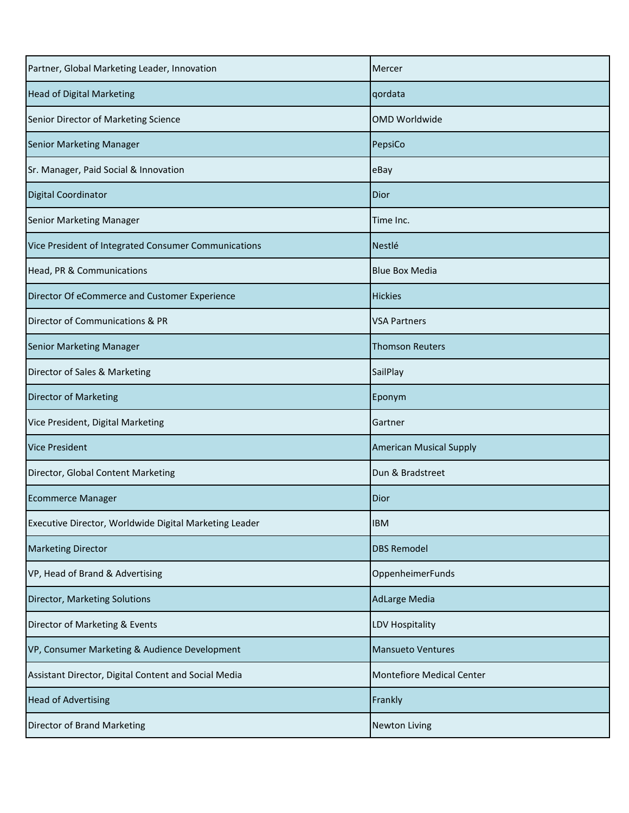| Partner, Global Marketing Leader, Innovation           | Mercer                         |
|--------------------------------------------------------|--------------------------------|
| <b>Head of Digital Marketing</b>                       | qordata                        |
| Senior Director of Marketing Science                   | <b>OMD Worldwide</b>           |
| <b>Senior Marketing Manager</b>                        | PepsiCo                        |
| Sr. Manager, Paid Social & Innovation                  | eBay                           |
| <b>Digital Coordinator</b>                             | Dior                           |
| <b>Senior Marketing Manager</b>                        | Time Inc.                      |
| Vice President of Integrated Consumer Communications   | Nestlé                         |
| Head, PR & Communications                              | <b>Blue Box Media</b>          |
| Director Of eCommerce and Customer Experience          | <b>Hickies</b>                 |
| Director of Communications & PR                        | <b>VSA Partners</b>            |
| <b>Senior Marketing Manager</b>                        | <b>Thomson Reuters</b>         |
| Director of Sales & Marketing                          | SailPlay                       |
| <b>Director of Marketing</b>                           | Eponym                         |
| Vice President, Digital Marketing                      | Gartner                        |
| <b>Vice President</b>                                  | <b>American Musical Supply</b> |
| Director, Global Content Marketing                     | Dun & Bradstreet               |
| <b>Ecommerce Manager</b>                               | Dior                           |
| Executive Director, Worldwide Digital Marketing Leader | <b>IBM</b>                     |
| <b>Marketing Director</b>                              | <b>DBS Remodel</b>             |
| VP, Head of Brand & Advertising                        | OppenheimerFunds               |
| Director, Marketing Solutions                          | <b>AdLarge Media</b>           |
| Director of Marketing & Events                         | <b>LDV Hospitality</b>         |
| VP, Consumer Marketing & Audience Development          | <b>Mansueto Ventures</b>       |
| Assistant Director, Digital Content and Social Media   | Montefiore Medical Center      |
| <b>Head of Advertising</b>                             | Frankly                        |
| Director of Brand Marketing                            | <b>Newton Living</b>           |
|                                                        |                                |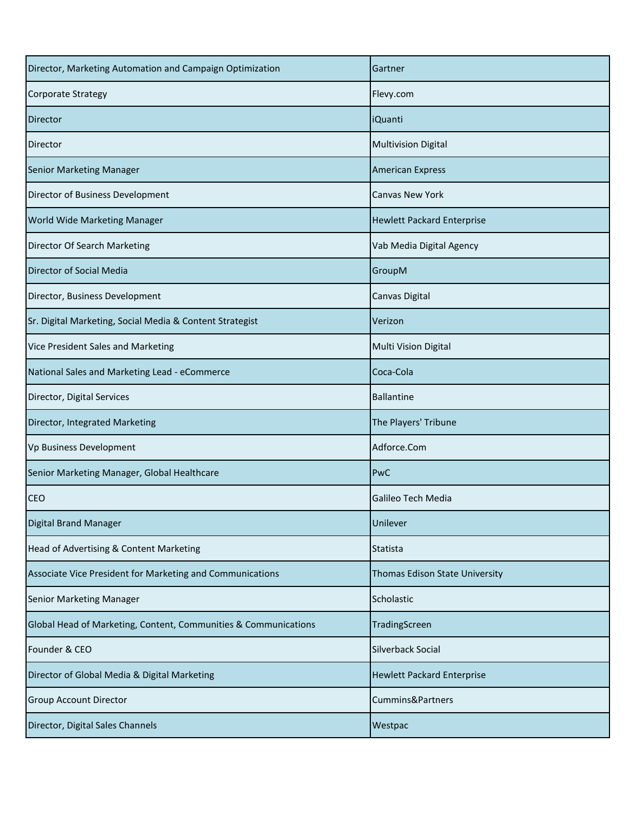| Director, Marketing Automation and Campaign Optimization        | Gartner                           |
|-----------------------------------------------------------------|-----------------------------------|
| <b>Corporate Strategy</b>                                       | Flevy.com                         |
| Director                                                        | iQuanti                           |
| Director                                                        | <b>Multivision Digital</b>        |
| <b>Senior Marketing Manager</b>                                 | <b>American Express</b>           |
| Director of Business Development                                | Canvas New York                   |
| <b>World Wide Marketing Manager</b>                             | <b>Hewlett Packard Enterprise</b> |
| Director Of Search Marketing                                    | Vab Media Digital Agency          |
| Director of Social Media                                        | GroupM                            |
| Director, Business Development                                  | Canvas Digital                    |
| Sr. Digital Marketing, Social Media & Content Strategist        | Verizon                           |
| Vice President Sales and Marketing                              | Multi Vision Digital              |
| National Sales and Marketing Lead - eCommerce                   | Coca-Cola                         |
| Director, Digital Services                                      | <b>Ballantine</b>                 |
| Director, Integrated Marketing                                  | The Players' Tribune              |
| Vp Business Development                                         | Adforce.Com                       |
| Senior Marketing Manager, Global Healthcare                     | PwC                               |
| <b>CEO</b>                                                      | Galileo Tech Media                |
| <b>Digital Brand Manager</b>                                    | Unilever                          |
| Head of Advertising & Content Marketing                         | <b>Statista</b>                   |
| Associate Vice President for Marketing and Communications       | Thomas Edison State University    |
| Senior Marketing Manager                                        | Scholastic                        |
| Global Head of Marketing, Content, Communities & Communications | TradingScreen                     |
| Founder & CEO                                                   | Silverback Social                 |
| Director of Global Media & Digital Marketing                    | <b>Hewlett Packard Enterprise</b> |
| <b>Group Account Director</b>                                   | Cummins&Partners                  |
| Director, Digital Sales Channels                                | Westpac                           |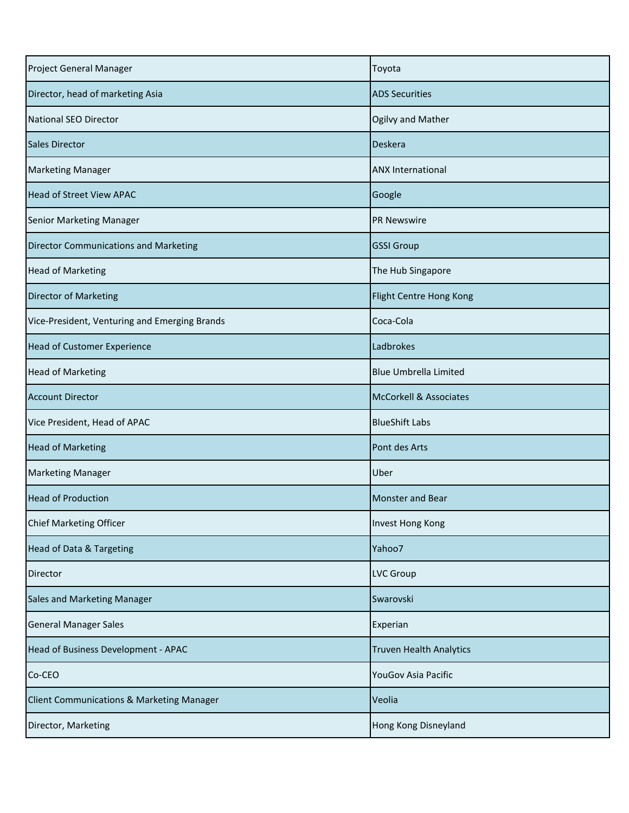| Project General Manager                              | Toyota                            |
|------------------------------------------------------|-----------------------------------|
| Director, head of marketing Asia                     | <b>ADS Securities</b>             |
| National SEO Director                                | Ogilvy and Mather                 |
| <b>Sales Director</b>                                | Deskera                           |
| <b>Marketing Manager</b>                             | <b>ANX International</b>          |
| <b>Head of Street View APAC</b>                      | Google                            |
| <b>Senior Marketing Manager</b>                      | <b>PR Newswire</b>                |
| <b>Director Communications and Marketing</b>         | <b>GSSI Group</b>                 |
| <b>Head of Marketing</b>                             | The Hub Singapore                 |
| <b>Director of Marketing</b>                         | Flight Centre Hong Kong           |
| Vice-President, Venturing and Emerging Brands        | Coca-Cola                         |
| <b>Head of Customer Experience</b>                   | Ladbrokes                         |
| <b>Head of Marketing</b>                             | <b>Blue Umbrella Limited</b>      |
| <b>Account Director</b>                              | <b>McCorkell &amp; Associates</b> |
| Vice President, Head of APAC                         | <b>BlueShift Labs</b>             |
| <b>Head of Marketing</b>                             | Pont des Arts                     |
| <b>Marketing Manager</b>                             | Uber                              |
| <b>Head of Production</b>                            | <b>Monster and Bear</b>           |
| Chief Marketing Officer                              | Invest Hong Kong                  |
| <b>Head of Data &amp; Targeting</b>                  | Yahoo7                            |
| Director                                             | <b>LVC Group</b>                  |
| <b>Sales and Marketing Manager</b>                   | Swarovski                         |
| <b>General Manager Sales</b>                         | Experian                          |
| Head of Business Development - APAC                  | <b>Truven Health Analytics</b>    |
| Co-CEO                                               | YouGov Asia Pacific               |
| <b>Client Communications &amp; Marketing Manager</b> | Veolia                            |
| Director, Marketing                                  | Hong Kong Disneyland              |
|                                                      |                                   |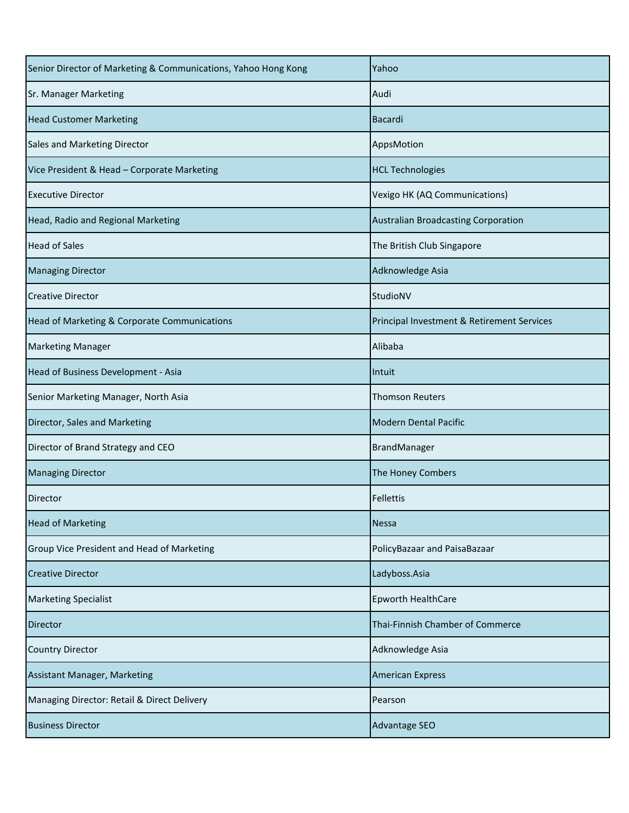| Senior Director of Marketing & Communications, Yahoo Hong Kong | Yahoo                                      |
|----------------------------------------------------------------|--------------------------------------------|
| <b>Sr. Manager Marketing</b>                                   | Audi                                       |
| <b>Head Customer Marketing</b>                                 | Bacardi                                    |
| Sales and Marketing Director                                   | AppsMotion                                 |
| Vice President & Head - Corporate Marketing                    | <b>HCL Technologies</b>                    |
| <b>Executive Director</b>                                      | Vexigo HK (AQ Communications)              |
| Head, Radio and Regional Marketing                             | Australian Broadcasting Corporation        |
| <b>Head of Sales</b>                                           | The British Club Singapore                 |
| <b>Managing Director</b>                                       | Adknowledge Asia                           |
| <b>Creative Director</b>                                       | StudioNV                                   |
| Head of Marketing & Corporate Communications                   | Principal Investment & Retirement Services |
| <b>Marketing Manager</b>                                       | Alibaba                                    |
| Head of Business Development - Asia                            | Intuit                                     |
| Senior Marketing Manager, North Asia                           | <b>Thomson Reuters</b>                     |
| Director, Sales and Marketing                                  | <b>Modern Dental Pacific</b>               |
| Director of Brand Strategy and CEO                             | BrandManager                               |
| <b>Managing Director</b>                                       | The Honey Combers                          |
| Director                                                       | <b>Fellettis</b>                           |
| <b>Head of Marketing</b>                                       | <b>Nessa</b>                               |
| Group Vice President and Head of Marketing                     | PolicyBazaar and PaisaBazaar               |
| <b>Creative Director</b>                                       | Ladyboss.Asia                              |
| <b>Marketing Specialist</b>                                    | <b>Epworth HealthCare</b>                  |
| Director                                                       | Thai-Finnish Chamber of Commerce           |
| <b>Country Director</b>                                        | Adknowledge Asia                           |
| Assistant Manager, Marketing                                   | <b>American Express</b>                    |
| Managing Director: Retail & Direct Delivery                    | Pearson                                    |
| <b>Business Director</b>                                       | Advantage SEO                              |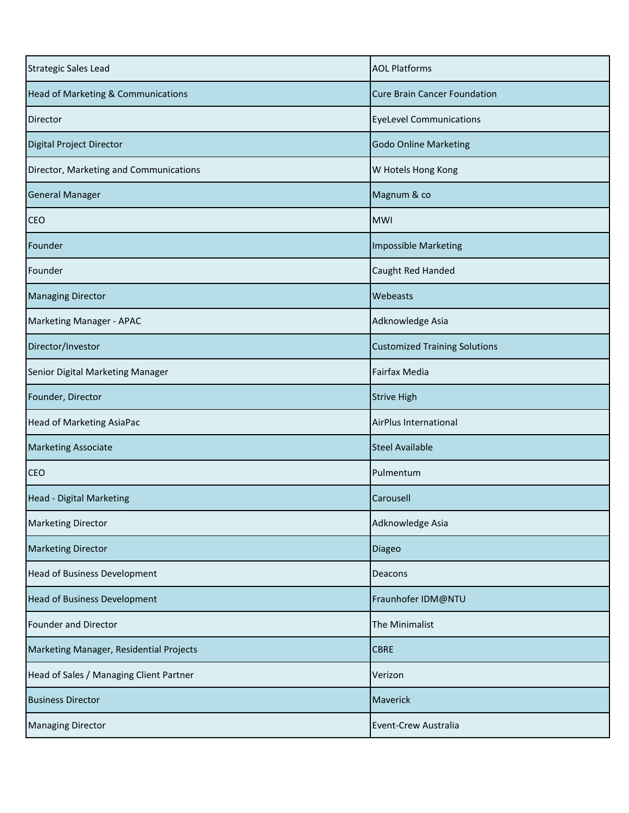| <b>Strategic Sales Lead</b>             | <b>AOL Platforms</b>                 |
|-----------------------------------------|--------------------------------------|
| Head of Marketing & Communications      | <b>Cure Brain Cancer Foundation</b>  |
| Director                                | <b>EyeLevel Communications</b>       |
| Digital Project Director                | <b>Godo Online Marketing</b>         |
| Director, Marketing and Communications  | W Hotels Hong Kong                   |
| <b>General Manager</b>                  | Magnum & co                          |
| <b>CEO</b>                              | <b>MWI</b>                           |
| Founder                                 | <b>Impossible Marketing</b>          |
| Founder                                 | Caught Red Handed                    |
| <b>Managing Director</b>                | Webeasts                             |
| Marketing Manager - APAC                | Adknowledge Asia                     |
| Director/Investor                       | <b>Customized Training Solutions</b> |
| Senior Digital Marketing Manager        | Fairfax Media                        |
| Founder, Director                       | <b>Strive High</b>                   |
| <b>Head of Marketing AsiaPac</b>        | AirPlus International                |
| <b>Marketing Associate</b>              | <b>Steel Available</b>               |
| <b>CEO</b>                              | Pulmentum                            |
| Head - Digital Marketing                | Carousell                            |
| <b>Marketing Director</b>               | Adknowledge Asia                     |
| <b>Marketing Director</b>               | Diageo                               |
| <b>Head of Business Development</b>     | Deacons                              |
| <b>Head of Business Development</b>     | Fraunhofer IDM@NTU                   |
| Founder and Director                    | The Minimalist                       |
| Marketing Manager, Residential Projects | <b>CBRE</b>                          |
| Head of Sales / Managing Client Partner | Verizon                              |
| <b>Business Director</b>                | Maverick                             |
| <b>Managing Director</b>                | Event-Crew Australia                 |
|                                         |                                      |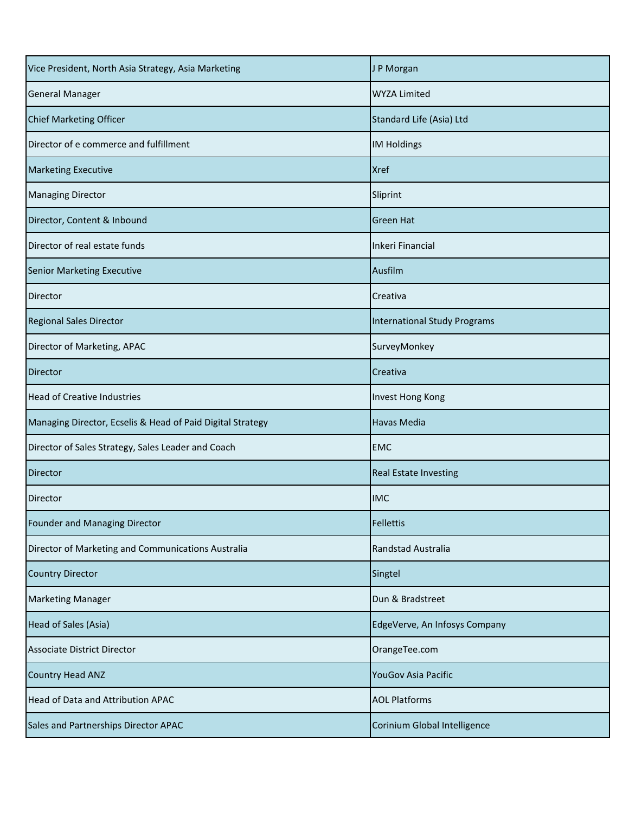| Vice President, North Asia Strategy, Asia Marketing        | J P Morgan                          |
|------------------------------------------------------------|-------------------------------------|
| <b>General Manager</b>                                     | <b>WYZA Limited</b>                 |
| <b>Chief Marketing Officer</b>                             | Standard Life (Asia) Ltd            |
| Director of e commerce and fulfillment                     | <b>IM Holdings</b>                  |
| <b>Marketing Executive</b>                                 | <b>Xref</b>                         |
| <b>Managing Director</b>                                   | Sliprint                            |
| Director, Content & Inbound                                | <b>Green Hat</b>                    |
| Director of real estate funds                              | Inkeri Financial                    |
| <b>Senior Marketing Executive</b>                          | Ausfilm                             |
| Director                                                   | Creativa                            |
| <b>Regional Sales Director</b>                             | <b>International Study Programs</b> |
| Director of Marketing, APAC                                | SurveyMonkey                        |
| Director                                                   | Creativa                            |
| <b>Head of Creative Industries</b>                         | Invest Hong Kong                    |
| Managing Director, Ecselis & Head of Paid Digital Strategy | <b>Havas Media</b>                  |
| Director of Sales Strategy, Sales Leader and Coach         | <b>EMC</b>                          |
| <b>Director</b>                                            | <b>Real Estate Investing</b>        |
| Director                                                   | <b>IMC</b>                          |
| Founder and Managing Director                              | <b>Fellettis</b>                    |
| Director of Marketing and Communications Australia         | Randstad Australia                  |
| <b>Country Director</b>                                    | Singtel                             |
| <b>Marketing Manager</b>                                   | Dun & Bradstreet                    |
| Head of Sales (Asia)                                       | EdgeVerve, An Infosys Company       |
| <b>Associate District Director</b>                         | OrangeTee.com                       |
| <b>Country Head ANZ</b>                                    | YouGov Asia Pacific                 |
| Head of Data and Attribution APAC                          | <b>AOL Platforms</b>                |
| Sales and Partnerships Director APAC                       | Corinium Global Intelligence        |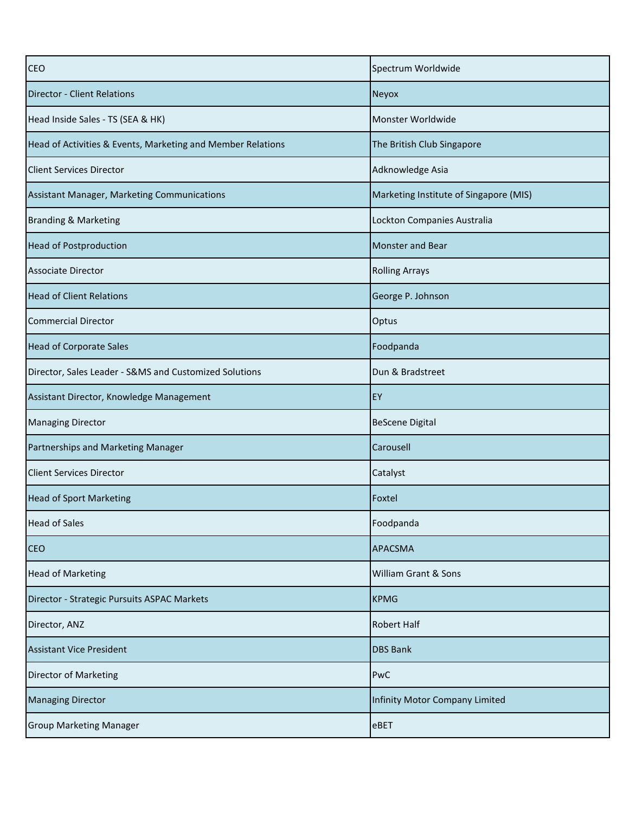| Spectrum Worldwide                     |
|----------------------------------------|
| Neyox                                  |
| Monster Worldwide                      |
| The British Club Singapore             |
| Adknowledge Asia                       |
| Marketing Institute of Singapore (MIS) |
| Lockton Companies Australia            |
| <b>Monster and Bear</b>                |
| <b>Rolling Arrays</b>                  |
| George P. Johnson                      |
| Optus                                  |
| Foodpanda                              |
| Dun & Bradstreet                       |
| EY                                     |
| <b>BeScene Digital</b>                 |
| Carousell                              |
| Catalyst                               |
| Foxtel                                 |
| Foodpanda                              |
| <b>APACSMA</b>                         |
| William Grant & Sons                   |
| <b>KPMG</b>                            |
| <b>Robert Half</b>                     |
| <b>DBS Bank</b>                        |
| PwC                                    |
| Infinity Motor Company Limited         |
| eBET                                   |
|                                        |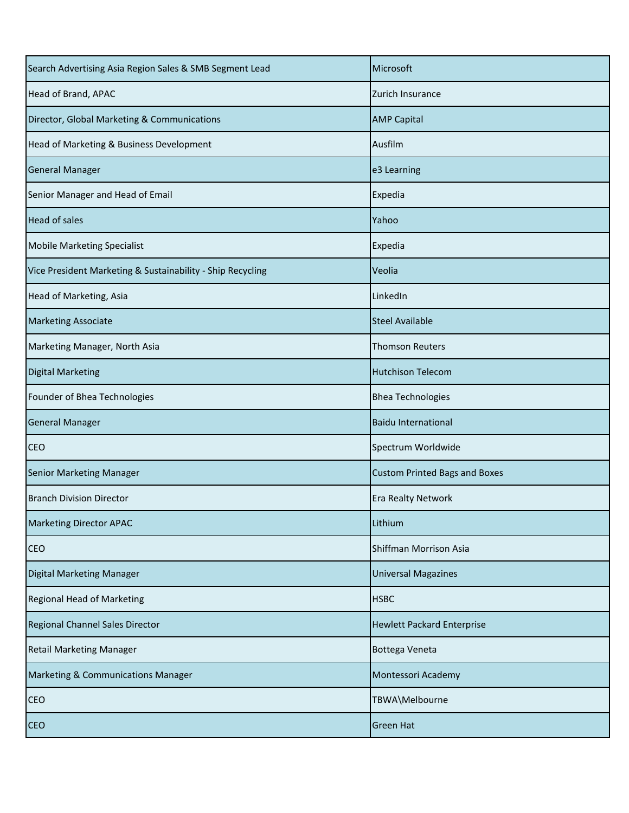| Microsoft                            |
|--------------------------------------|
| Zurich Insurance                     |
| <b>AMP Capital</b>                   |
| Ausfilm                              |
| e3 Learning                          |
| Expedia                              |
| Yahoo                                |
| Expedia                              |
| Veolia                               |
| LinkedIn                             |
| <b>Steel Available</b>               |
| <b>Thomson Reuters</b>               |
| <b>Hutchison Telecom</b>             |
| <b>Bhea Technologies</b>             |
| <b>Baidu International</b>           |
| Spectrum Worldwide                   |
| <b>Custom Printed Bags and Boxes</b> |
| <b>Era Realty Network</b>            |
| Lithium                              |
| Shiffman Morrison Asia               |
| <b>Universal Magazines</b>           |
| <b>HSBC</b>                          |
| <b>Hewlett Packard Enterprise</b>    |
| Bottega Veneta                       |
| Montessori Academy                   |
| TBWA\Melbourne                       |
| <b>Green Hat</b>                     |
|                                      |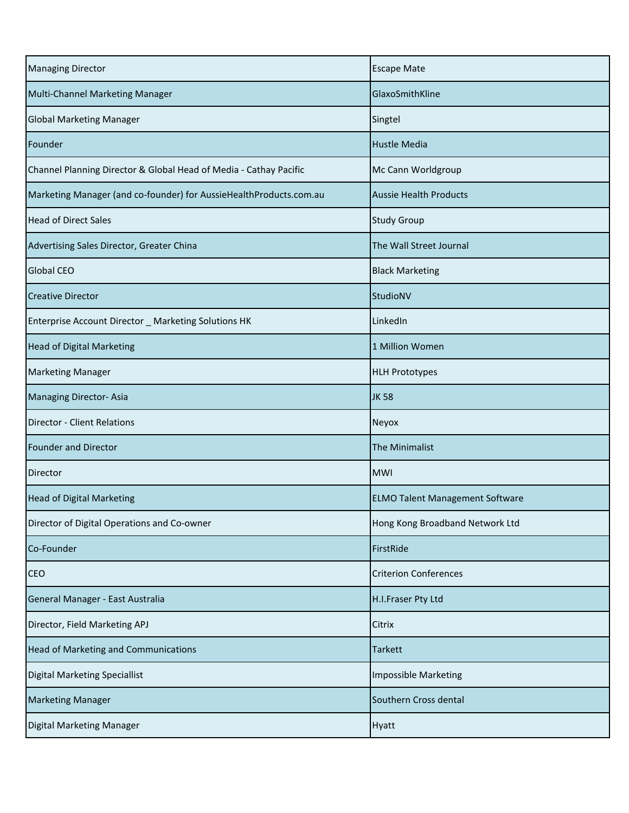| <b>Managing Director</b>                                           | <b>Escape Mate</b>                     |
|--------------------------------------------------------------------|----------------------------------------|
| Multi-Channel Marketing Manager                                    | GlaxoSmithKline                        |
| <b>Global Marketing Manager</b>                                    | Singtel                                |
| Founder                                                            | <b>Hustle Media</b>                    |
| Channel Planning Director & Global Head of Media - Cathay Pacific  | Mc Cann Worldgroup                     |
| Marketing Manager (and co-founder) for AussieHealthProducts.com.au | <b>Aussie Health Products</b>          |
| <b>Head of Direct Sales</b>                                        | <b>Study Group</b>                     |
| Advertising Sales Director, Greater China                          | The Wall Street Journal                |
| <b>Global CEO</b>                                                  | <b>Black Marketing</b>                 |
| <b>Creative Director</b>                                           | StudioNV                               |
| Enterprise Account Director _ Marketing Solutions HK               | LinkedIn                               |
| <b>Head of Digital Marketing</b>                                   | 1 Million Women                        |
| <b>Marketing Manager</b>                                           | <b>HLH Prototypes</b>                  |
| Managing Director-Asia                                             | <b>JK 58</b>                           |
| <b>Director - Client Relations</b>                                 | Neyox                                  |
| <b>Founder and Director</b>                                        | <b>The Minimalist</b>                  |
| <b>Director</b>                                                    | <b>MWI</b>                             |
| <b>Head of Digital Marketing</b>                                   | <b>ELMO Talent Management Software</b> |
| Director of Digital Operations and Co-owner                        | Hong Kong Broadband Network Ltd        |
| Co-Founder                                                         | FirstRide                              |
| <b>CEO</b>                                                         | <b>Criterion Conferences</b>           |
| General Manager - East Australia                                   | H.I.Fraser Pty Ltd                     |
| Director, Field Marketing APJ                                      | Citrix                                 |
| <b>Head of Marketing and Communications</b>                        | <b>Tarkett</b>                         |
| <b>Digital Marketing Speciallist</b>                               | <b>Impossible Marketing</b>            |
| <b>Marketing Manager</b>                                           | Southern Cross dental                  |
| Digital Marketing Manager                                          | Hyatt                                  |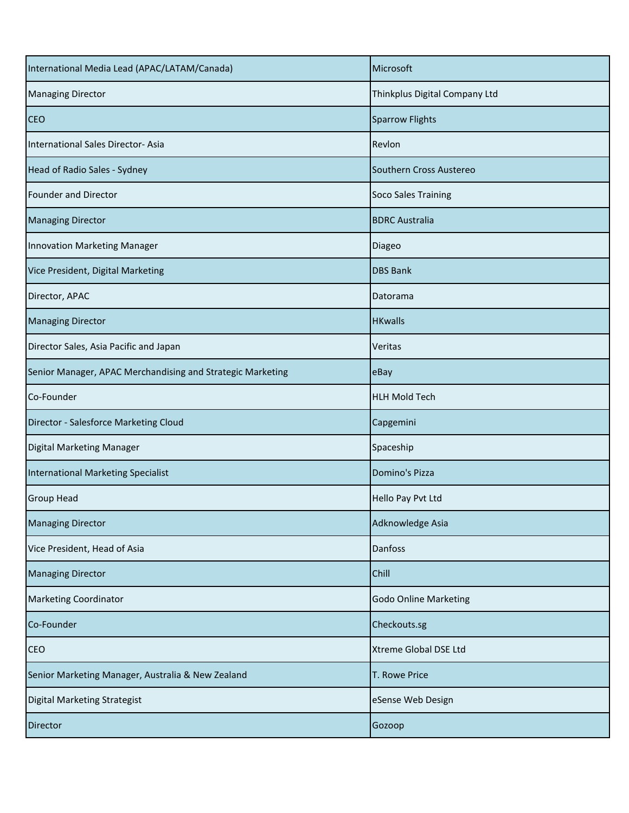| International Media Lead (APAC/LATAM/Canada)               | Microsoft                     |
|------------------------------------------------------------|-------------------------------|
| <b>Managing Director</b>                                   | Thinkplus Digital Company Ltd |
| <b>CEO</b>                                                 | <b>Sparrow Flights</b>        |
| International Sales Director-Asia                          | Revlon                        |
| Head of Radio Sales - Sydney                               | Southern Cross Austereo       |
| Founder and Director                                       | Soco Sales Training           |
| <b>Managing Director</b>                                   | <b>BDRC Australia</b>         |
| Innovation Marketing Manager                               | Diageo                        |
| Vice President, Digital Marketing                          | <b>DBS Bank</b>               |
| Director, APAC                                             | Datorama                      |
| <b>Managing Director</b>                                   | <b>HKwalls</b>                |
| Director Sales, Asia Pacific and Japan                     | Veritas                       |
| Senior Manager, APAC Merchandising and Strategic Marketing | eBay                          |
| Co-Founder                                                 | <b>HLH Mold Tech</b>          |
| Director - Salesforce Marketing Cloud                      | Capgemini                     |
| Digital Marketing Manager                                  | Spaceship                     |
| International Marketing Specialist                         | Domino's Pizza                |
| <b>Group Head</b>                                          | Hello Pay Pvt Ltd             |
| <b>Managing Director</b>                                   | Adknowledge Asia              |
| Vice President, Head of Asia                               | Danfoss                       |
| <b>Managing Director</b>                                   | Chill                         |
| <b>Marketing Coordinator</b>                               | <b>Godo Online Marketing</b>  |
| Co-Founder                                                 | Checkouts.sg                  |
| <b>CEO</b>                                                 | <b>Xtreme Global DSE Ltd</b>  |
| Senior Marketing Manager, Australia & New Zealand          | T. Rowe Price                 |
| <b>Digital Marketing Strategist</b>                        | eSense Web Design             |
| <b>Director</b>                                            | Gozoop                        |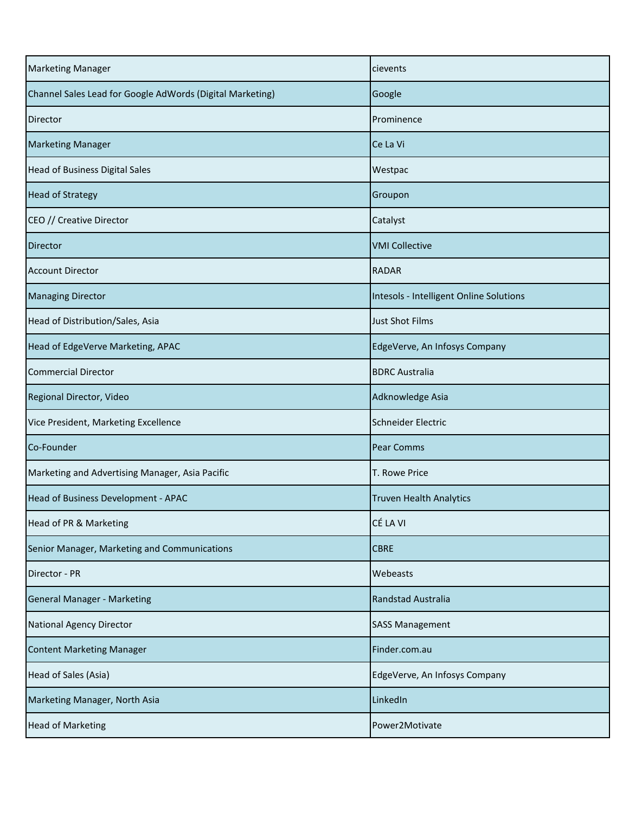| <b>Marketing Manager</b>                                  | cievents                                |
|-----------------------------------------------------------|-----------------------------------------|
| Channel Sales Lead for Google AdWords (Digital Marketing) | Google                                  |
| Director                                                  | Prominence                              |
| <b>Marketing Manager</b>                                  | Ce La Vi                                |
| <b>Head of Business Digital Sales</b>                     | Westpac                                 |
| <b>Head of Strategy</b>                                   | Groupon                                 |
| CEO // Creative Director                                  | Catalyst                                |
| <b>Director</b>                                           | <b>VMI Collective</b>                   |
| <b>Account Director</b>                                   | <b>RADAR</b>                            |
| <b>Managing Director</b>                                  | Intesols - Intelligent Online Solutions |
| Head of Distribution/Sales, Asia                          | <b>Just Shot Films</b>                  |
| Head of EdgeVerve Marketing, APAC                         | EdgeVerve, An Infosys Company           |
| <b>Commercial Director</b>                                | <b>BDRC Australia</b>                   |
| Regional Director, Video                                  | Adknowledge Asia                        |
| Vice President, Marketing Excellence                      | Schneider Electric                      |
| Co-Founder                                                | <b>Pear Comms</b>                       |
| Marketing and Advertising Manager, Asia Pacific           | T. Rowe Price                           |
| Head of Business Development - APAC                       | <b>Truven Health Analytics</b>          |
| Head of PR & Marketing                                    | CÉ LA VI                                |
| Senior Manager, Marketing and Communications              | <b>CBRE</b>                             |
| Director - PR                                             | Webeasts                                |
| <b>General Manager - Marketing</b>                        | Randstad Australia                      |
| <b>National Agency Director</b>                           | <b>SASS Management</b>                  |
| <b>Content Marketing Manager</b>                          | Finder.com.au                           |
| Head of Sales (Asia)                                      | EdgeVerve, An Infosys Company           |
| Marketing Manager, North Asia                             | LinkedIn                                |
| <b>Head of Marketing</b>                                  | Power2Motivate                          |
|                                                           |                                         |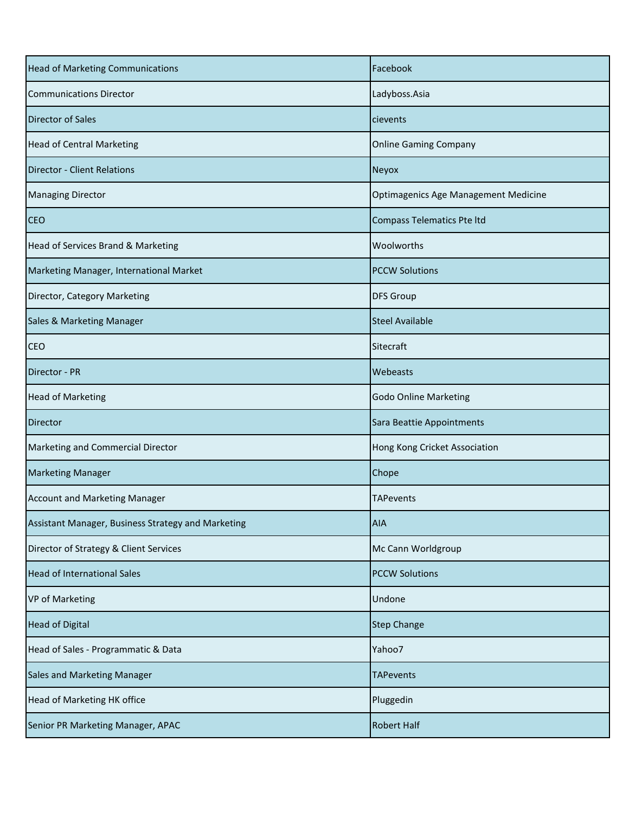| <b>Head of Marketing Communications</b>            | Facebook                             |
|----------------------------------------------------|--------------------------------------|
| <b>Communications Director</b>                     | Ladyboss.Asia                        |
| <b>Director of Sales</b>                           | cievents                             |
| <b>Head of Central Marketing</b>                   | <b>Online Gaming Company</b>         |
| <b>Director - Client Relations</b>                 | Neyox                                |
| <b>Managing Director</b>                           | Optimagenics Age Management Medicine |
| <b>CEO</b>                                         | <b>Compass Telematics Pte Itd</b>    |
| Head of Services Brand & Marketing                 | Woolworths                           |
| Marketing Manager, International Market            | <b>PCCW Solutions</b>                |
| Director, Category Marketing                       | <b>DFS Group</b>                     |
| Sales & Marketing Manager                          | <b>Steel Available</b>               |
| <b>CEO</b>                                         | Sitecraft                            |
| Director - PR                                      | Webeasts                             |
| <b>Head of Marketing</b>                           | <b>Godo Online Marketing</b>         |
| <b>Director</b>                                    | Sara Beattie Appointments            |
| Marketing and Commercial Director                  | Hong Kong Cricket Association        |
| <b>Marketing Manager</b>                           | Chope                                |
| <b>Account and Marketing Manager</b>               | <b>TAPevents</b>                     |
| Assistant Manager, Business Strategy and Marketing | <b>AIA</b>                           |
| Director of Strategy & Client Services             | Mc Cann Worldgroup                   |
| <b>Head of International Sales</b>                 | <b>PCCW Solutions</b>                |
| VP of Marketing                                    | Undone                               |
| <b>Head of Digital</b>                             | <b>Step Change</b>                   |
| Head of Sales - Programmatic & Data                | Yahoo7                               |
| <b>Sales and Marketing Manager</b>                 | <b>TAPevents</b>                     |
| Head of Marketing HK office                        | Pluggedin                            |
| Senior PR Marketing Manager, APAC                  | <b>Robert Half</b>                   |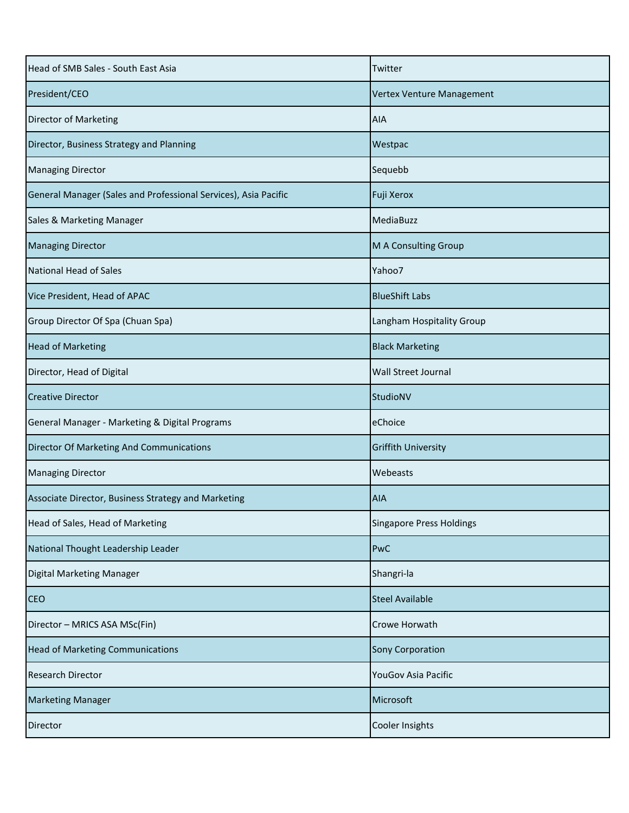| Head of SMB Sales - South East Asia                             | Twitter                         |
|-----------------------------------------------------------------|---------------------------------|
| President/CEO                                                   | Vertex Venture Management       |
| Director of Marketing                                           | <b>AIA</b>                      |
| Director, Business Strategy and Planning                        | Westpac                         |
| <b>Managing Director</b>                                        | Sequebb                         |
| General Manager (Sales and Professional Services), Asia Pacific | Fuji Xerox                      |
| Sales & Marketing Manager                                       | MediaBuzz                       |
| <b>Managing Director</b>                                        | M A Consulting Group            |
| National Head of Sales                                          | Yahoo7                          |
| Vice President, Head of APAC                                    | <b>BlueShift Labs</b>           |
| Group Director Of Spa (Chuan Spa)                               | Langham Hospitality Group       |
| <b>Head of Marketing</b>                                        | <b>Black Marketing</b>          |
| Director, Head of Digital                                       | <b>Wall Street Journal</b>      |
| <b>Creative Director</b>                                        | StudioNV                        |
| General Manager - Marketing & Digital Programs                  | eChoice                         |
| Director Of Marketing And Communications                        | <b>Griffith University</b>      |
| <b>Managing Director</b>                                        | Webeasts                        |
| Associate Director, Business Strategy and Marketing             | <b>AIA</b>                      |
| Head of Sales, Head of Marketing                                | <b>Singapore Press Holdings</b> |
| National Thought Leadership Leader                              | PwC                             |
| Digital Marketing Manager                                       | Shangri-la                      |
| <b>CEO</b>                                                      | <b>Steel Available</b>          |
| Director - MRICS ASA MSc(Fin)                                   | Crowe Horwath                   |
| <b>Head of Marketing Communications</b>                         | <b>Sony Corporation</b>         |
| <b>Research Director</b>                                        | YouGov Asia Pacific             |
| <b>Marketing Manager</b>                                        | Microsoft                       |
| Director                                                        | Cooler Insights                 |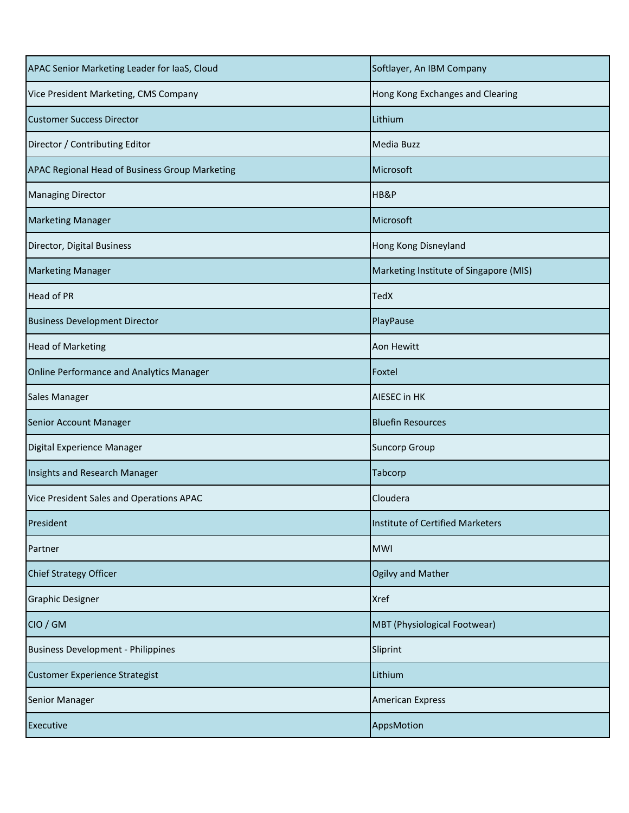| APAC Senior Marketing Leader for IaaS, Cloud   | Softlayer, An IBM Company              |
|------------------------------------------------|----------------------------------------|
| Vice President Marketing, CMS Company          | Hong Kong Exchanges and Clearing       |
| <b>Customer Success Director</b>               | Lithium                                |
| Director / Contributing Editor                 | Media Buzz                             |
| APAC Regional Head of Business Group Marketing | Microsoft                              |
| <b>Managing Director</b>                       | HB&P                                   |
| <b>Marketing Manager</b>                       | Microsoft                              |
| Director, Digital Business                     | Hong Kong Disneyland                   |
| <b>Marketing Manager</b>                       | Marketing Institute of Singapore (MIS) |
| <b>Head of PR</b>                              | <b>TedX</b>                            |
| <b>Business Development Director</b>           | PlayPause                              |
| <b>Head of Marketing</b>                       | <b>Aon Hewitt</b>                      |
| Online Performance and Analytics Manager       | Foxtel                                 |
| Sales Manager                                  | <b>AIESEC in HK</b>                    |
| Senior Account Manager                         | <b>Bluefin Resources</b>               |
| Digital Experience Manager                     | <b>Suncorp Group</b>                   |
| Insights and Research Manager                  | <b>Tabcorp</b>                         |
| Vice President Sales and Operations APAC       | Cloudera                               |
| President                                      | Institute of Certified Marketers       |
| Partner                                        | <b>MWI</b>                             |
| <b>Chief Strategy Officer</b>                  | Ogilvy and Mather                      |
| <b>Graphic Designer</b>                        | <b>Xref</b>                            |
| CIO / GM                                       | <b>MBT</b> (Physiological Footwear)    |
| <b>Business Development - Philippines</b>      | Sliprint                               |
| <b>Customer Experience Strategist</b>          | Lithium                                |
| Senior Manager                                 | <b>American Express</b>                |
| <b>Executive</b>                               | AppsMotion                             |
|                                                |                                        |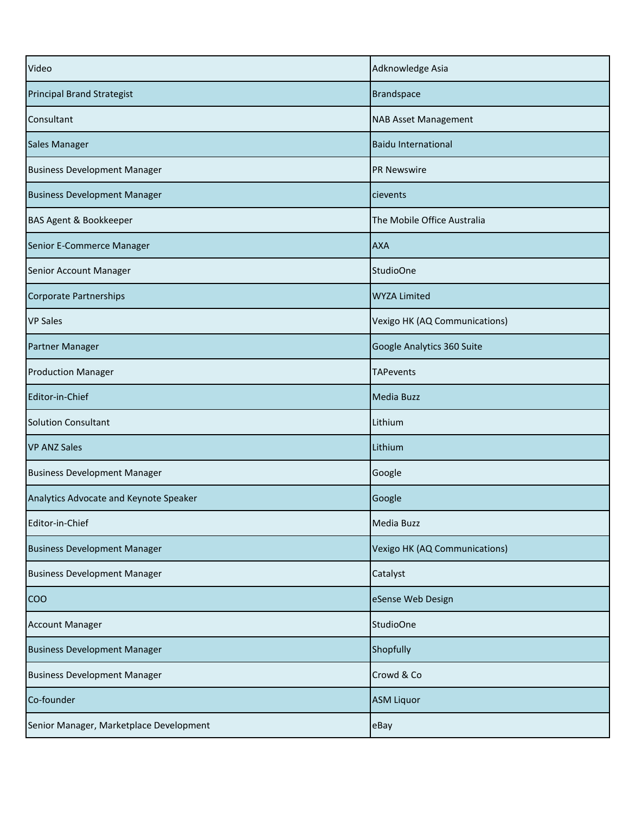| Video                                   | Adknowledge Asia              |
|-----------------------------------------|-------------------------------|
| <b>Principal Brand Strategist</b>       | <b>Brandspace</b>             |
| Consultant                              | <b>NAB Asset Management</b>   |
| <b>Sales Manager</b>                    | <b>Baidu International</b>    |
| <b>Business Development Manager</b>     | <b>PR Newswire</b>            |
| <b>Business Development Manager</b>     | cievents                      |
| BAS Agent & Bookkeeper                  | The Mobile Office Australia   |
| Senior E-Commerce Manager               | <b>AXA</b>                    |
| Senior Account Manager                  | <b>StudioOne</b>              |
| Corporate Partnerships                  | <b>WYZA Limited</b>           |
| <b>VP Sales</b>                         | Vexigo HK (AQ Communications) |
| <b>Partner Manager</b>                  | Google Analytics 360 Suite    |
| <b>Production Manager</b>               | <b>TAPevents</b>              |
| Editor-in-Chief                         | <b>Media Buzz</b>             |
| <b>Solution Consultant</b>              | Lithium                       |
| <b>VP ANZ Sales</b>                     | Lithium                       |
| <b>Business Development Manager</b>     | Google                        |
| Analytics Advocate and Keynote Speaker  | Google                        |
| Editor-in-Chief                         | <b>Media Buzz</b>             |
| <b>Business Development Manager</b>     | Vexigo HK (AQ Communications) |
| <b>Business Development Manager</b>     | Catalyst                      |
| <b>COO</b>                              | eSense Web Design             |
| <b>Account Manager</b>                  | <b>StudioOne</b>              |
| <b>Business Development Manager</b>     | Shopfully                     |
| <b>Business Development Manager</b>     | Crowd & Co                    |
| Co-founder                              | <b>ASM Liquor</b>             |
| Senior Manager, Marketplace Development | eBay                          |
|                                         |                               |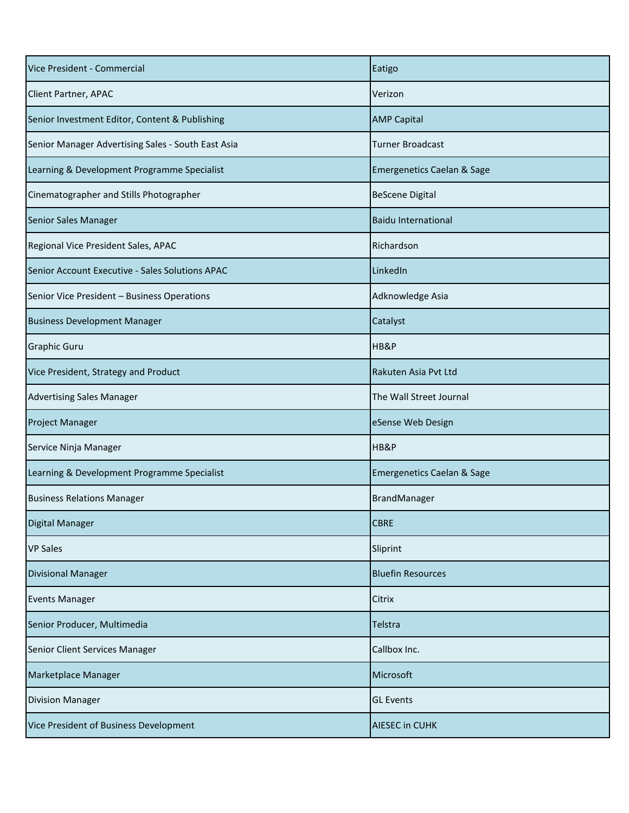| Vice President - Commercial                        | Eatigo                                |
|----------------------------------------------------|---------------------------------------|
| <b>Client Partner, APAC</b>                        | Verizon                               |
| Senior Investment Editor, Content & Publishing     | <b>AMP Capital</b>                    |
| Senior Manager Advertising Sales - South East Asia | <b>Turner Broadcast</b>               |
| Learning & Development Programme Specialist        | <b>Emergenetics Caelan &amp; Sage</b> |
| Cinematographer and Stills Photographer            | <b>BeScene Digital</b>                |
| Senior Sales Manager                               | <b>Baidu International</b>            |
| Regional Vice President Sales, APAC                | Richardson                            |
| Senior Account Executive - Sales Solutions APAC    | LinkedIn                              |
| Senior Vice President - Business Operations        | Adknowledge Asia                      |
| <b>Business Development Manager</b>                | Catalyst                              |
| <b>Graphic Guru</b>                                | HB&P                                  |
| Vice President, Strategy and Product               | Rakuten Asia Pvt Ltd                  |
| <b>Advertising Sales Manager</b>                   | The Wall Street Journal               |
| <b>Project Manager</b>                             | eSense Web Design                     |
| Service Ninja Manager                              | HB&P                                  |
| Learning & Development Programme Specialist        | <b>Emergenetics Caelan &amp; Sage</b> |
| <b>Business Relations Manager</b>                  | BrandManager                          |
| Digital Manager                                    | <b>CBRE</b>                           |
| <b>VP Sales</b>                                    | Sliprint                              |
| <b>Divisional Manager</b>                          | <b>Bluefin Resources</b>              |
| <b>Events Manager</b>                              | Citrix                                |
| Senior Producer, Multimedia                        | Telstra                               |
| Senior Client Services Manager                     | Callbox Inc.                          |
| Marketplace Manager                                | Microsoft                             |
| <b>Division Manager</b>                            | <b>GL Events</b>                      |
| Vice President of Business Development             | <b>AIESEC in CUHK</b>                 |
|                                                    |                                       |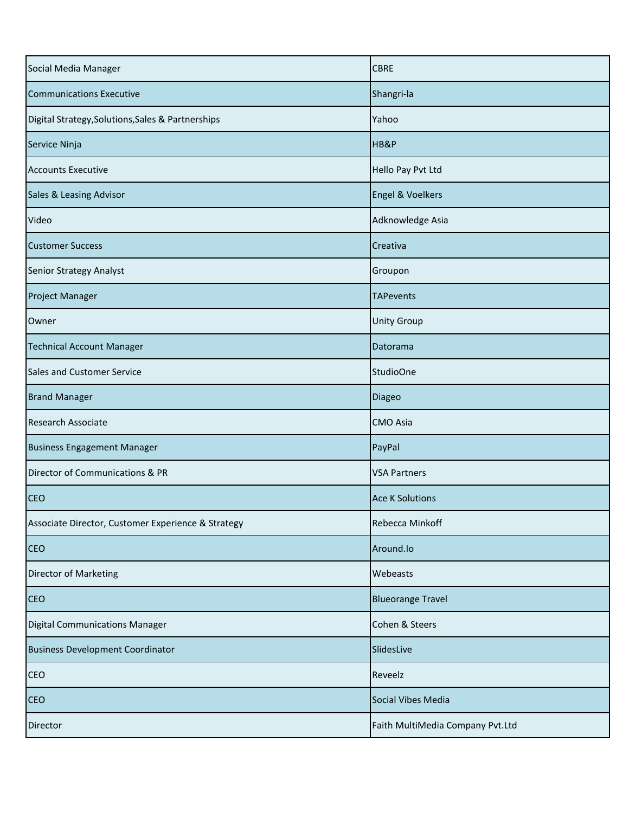| Social Media Manager                               | <b>CBRE</b>                      |
|----------------------------------------------------|----------------------------------|
| <b>Communications Executive</b>                    | Shangri-la                       |
| Digital Strategy, Solutions, Sales & Partnerships  | Yahoo                            |
| Service Ninja                                      | HB&P                             |
| <b>Accounts Executive</b>                          | Hello Pay Pvt Ltd                |
| Sales & Leasing Advisor                            | Engel & Voelkers                 |
| Video                                              | Adknowledge Asia                 |
| <b>Customer Success</b>                            | Creativa                         |
| <b>Senior Strategy Analyst</b>                     | Groupon                          |
| <b>Project Manager</b>                             | <b>TAPevents</b>                 |
| Owner                                              | <b>Unity Group</b>               |
| <b>Technical Account Manager</b>                   | Datorama                         |
| Sales and Customer Service                         | <b>StudioOne</b>                 |
| <b>Brand Manager</b>                               | <b>Diageo</b>                    |
| Research Associate                                 | <b>CMO</b> Asia                  |
| <b>Business Engagement Manager</b>                 | PayPal                           |
| Director of Communications & PR                    | <b>VSA Partners</b>              |
| <b>CEO</b>                                         | <b>Ace K Solutions</b>           |
| Associate Director, Customer Experience & Strategy | Rebecca Minkoff                  |
| <b>CEO</b>                                         | Around.lo                        |
| Director of Marketing                              | Webeasts                         |
| <b>CEO</b>                                         | <b>Blueorange Travel</b>         |
| Digital Communications Manager                     | Cohen & Steers                   |
| <b>Business Development Coordinator</b>            | SlidesLive                       |
| <b>CEO</b>                                         | Reveelz                          |
| <b>CEO</b>                                         | Social Vibes Media               |
| Director                                           | Faith MultiMedia Company Pvt.Ltd |
|                                                    |                                  |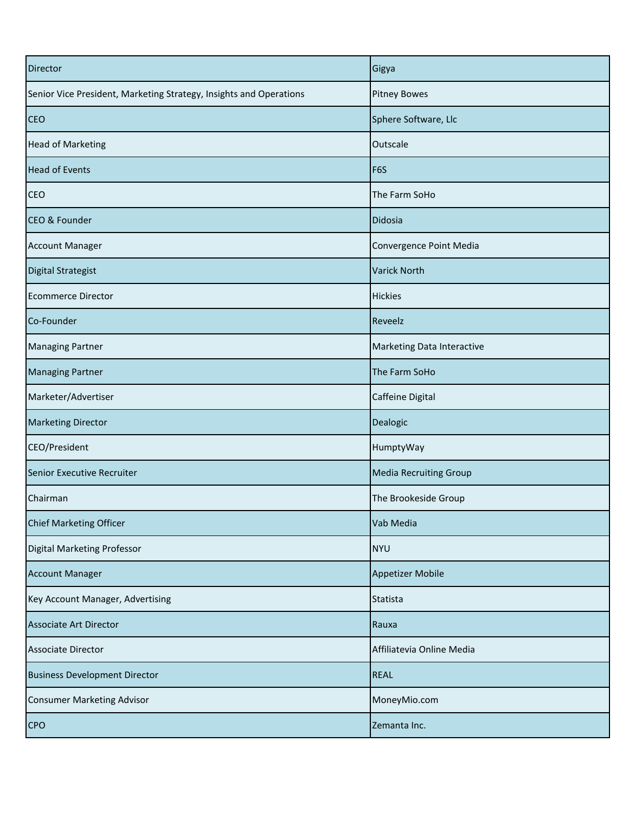| Director                                                           | Gigya                             |
|--------------------------------------------------------------------|-----------------------------------|
| Senior Vice President, Marketing Strategy, Insights and Operations | <b>Pitney Bowes</b>               |
| <b>CEO</b>                                                         | Sphere Software, Llc              |
| <b>Head of Marketing</b>                                           | Outscale                          |
| <b>Head of Events</b>                                              | F6S                               |
| <b>CEO</b>                                                         | The Farm SoHo                     |
| <b>CEO &amp; Founder</b>                                           | Didosia                           |
| <b>Account Manager</b>                                             | Convergence Point Media           |
| <b>Digital Strategist</b>                                          | <b>Varick North</b>               |
| <b>Ecommerce Director</b>                                          | <b>Hickies</b>                    |
| Co-Founder                                                         | Reveelz                           |
| <b>Managing Partner</b>                                            | <b>Marketing Data Interactive</b> |
| <b>Managing Partner</b>                                            | The Farm SoHo                     |
| Marketer/Advertiser                                                | Caffeine Digital                  |
| <b>Marketing Director</b>                                          | Dealogic                          |
| CEO/President                                                      | HumptyWay                         |
| Senior Executive Recruiter                                         | <b>Media Recruiting Group</b>     |
| Chairman                                                           | The Brookeside Group              |
| Chief Marketing Officer                                            | Vab Media                         |
| Digital Marketing Professor                                        | <b>NYU</b>                        |
| <b>Account Manager</b>                                             | <b>Appetizer Mobile</b>           |
| Key Account Manager, Advertising                                   | Statista                          |
| <b>Associate Art Director</b>                                      | Rauxa                             |
| <b>Associate Director</b>                                          | Affiliatevia Online Media         |
| <b>Business Development Director</b>                               | <b>REAL</b>                       |
| <b>Consumer Marketing Advisor</b>                                  | MoneyMio.com                      |
| <b>CPO</b>                                                         | Zemanta Inc.                      |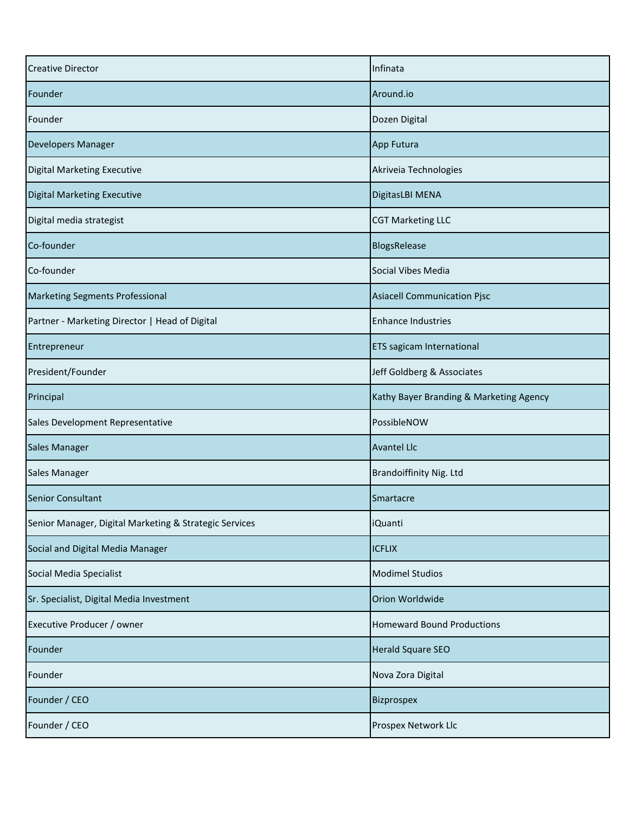| <b>Creative Director</b>                               | Infinata                                |
|--------------------------------------------------------|-----------------------------------------|
| Founder                                                | Around.io                               |
| Founder                                                | Dozen Digital                           |
| <b>Developers Manager</b>                              | App Futura                              |
| <b>Digital Marketing Executive</b>                     | Akriveia Technologies                   |
| <b>Digital Marketing Executive</b>                     | DigitasLBI MENA                         |
| Digital media strategist                               | <b>CGT Marketing LLC</b>                |
| Co-founder                                             | BlogsRelease                            |
| Co-founder                                             | Social Vibes Media                      |
| <b>Marketing Segments Professional</b>                 | <b>Asiacell Communication Pjsc</b>      |
| Partner - Marketing Director   Head of Digital         | <b>Enhance Industries</b>               |
| Entrepreneur                                           | <b>ETS</b> sagicam International        |
| President/Founder                                      | Jeff Goldberg & Associates              |
| Principal                                              | Kathy Bayer Branding & Marketing Agency |
| Sales Development Representative                       | PossibleNOW                             |
| <b>Sales Manager</b>                                   | <b>Avantel Llc</b>                      |
| <b>Sales Manager</b>                                   | <b>Brandoiffinity Nig. Ltd</b>          |
| <b>Senior Consultant</b>                               | Smartacre                               |
| Senior Manager, Digital Marketing & Strategic Services | <b>iQuanti</b>                          |
| Social and Digital Media Manager                       | <b>ICFLIX</b>                           |
| Social Media Specialist                                | <b>Modimel Studios</b>                  |
| Sr. Specialist, Digital Media Investment               | Orion Worldwide                         |
| Executive Producer / owner                             | <b>Homeward Bound Productions</b>       |
| Founder                                                | <b>Herald Square SEO</b>                |
| Founder                                                | Nova Zora Digital                       |
| Founder / CEO                                          | Bizprospex                              |
| Founder / CEO                                          | Prospex Network Llc                     |